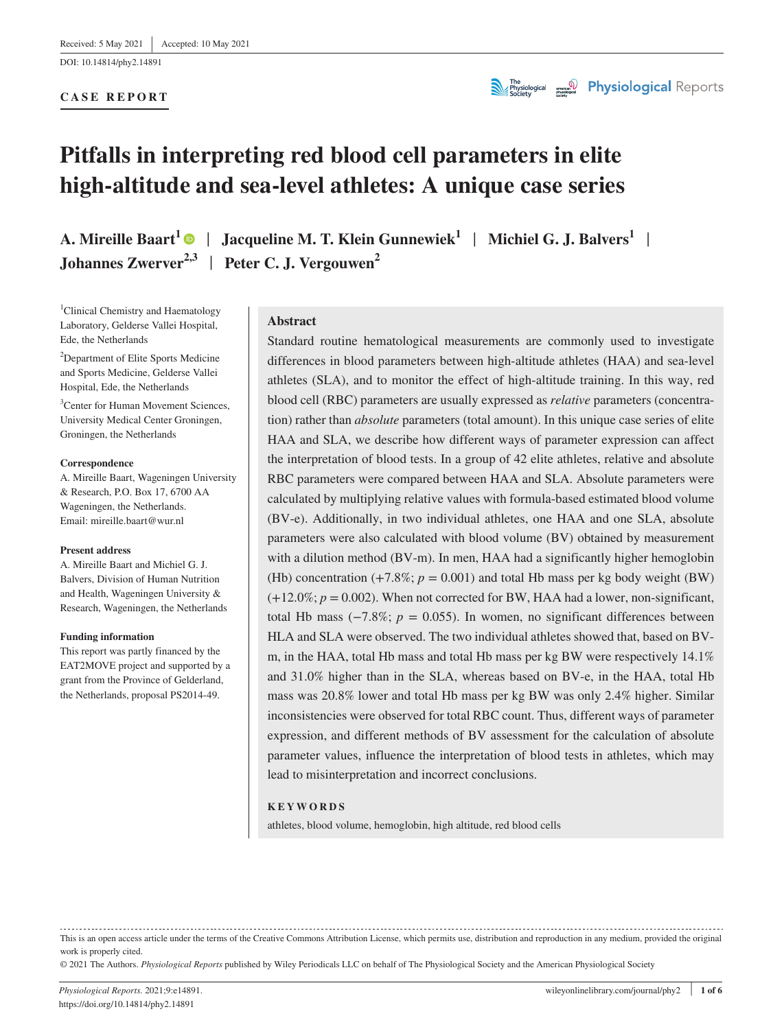DOI: 10.14814/phy2.14891

### **CASE REPORT**



# **Pitfalls in interpreting red blood cell parameters in elite high-altitude and sea-level athletes: A unique case series**

**A. Mireille Baart<sup>[1](https://orcid.org/0000-0003-4848-0157)</sup>**  $\bullet$  **| Jacqueline M. T. Klein Gunnewiek<sup>1</sup> | Michiel G. J. Balvers<sup>1</sup> | Johannes Zwerver2,3** | **Peter C. J. Vergouwen<sup>2</sup>**

<sup>1</sup>Clinical Chemistry and Haematology Laboratory, Gelderse Vallei Hospital, Ede, the Netherlands

<sup>2</sup>Department of Elite Sports Medicine and Sports Medicine, Gelderse Vallei Hospital, Ede, the Netherlands

<sup>3</sup> Center for Human Movement Sciences, University Medical Center Groningen, Groningen, the Netherlands

#### **Correspondence**

A. Mireille Baart, Wageningen University & Research, P.O. Box 17, 6700 AA Wageningen, the Netherlands. Email: [mireille.baart@wur.nl](mailto:mireille.baart@wur.nl)

#### **Present address**

A. Mireille Baart and Michiel G. J. Balvers, Division of Human Nutrition and Health, Wageningen University & Research, Wageningen, the Netherlands

#### **Funding information**

This report was partly financed by the EAT2MOVE project and supported by a grant from the Province of Gelderland, the Netherlands, proposal PS2014-49.

#### **Abstract**

Standard routine hematological measurements are commonly used to investigate differences in blood parameters between high-altitude athletes (HAA) and sea-level athletes (SLA), and to monitor the effect of high-altitude training. In this way, red blood cell (RBC) parameters are usually expressed as *relative* parameters (concentration) rather than *absolute* parameters (total amount). In this unique case series of elite HAA and SLA, we describe how different ways of parameter expression can affect the interpretation of blood tests. In a group of 42 elite athletes, relative and absolute RBC parameters were compared between HAA and SLA. Absolute parameters were calculated by multiplying relative values with formula-based estimated blood volume (BV-e). Additionally, in two individual athletes, one HAA and one SLA, absolute parameters were also calculated with blood volume (BV) obtained by measurement with a dilution method (BV-m). In men, HAA had a significantly higher hemoglobin (Hb) concentration  $(+7.8\%; p = 0.001)$  and total Hb mass per kg body weight (BW)  $(+12.0\%; p = 0.002)$ . When not corrected for BW, HAA had a lower, non-significant, total Hb mass ( $-7.8\%$ ; *p* = 0.055). In women, no significant differences between HLA and SLA were observed. The two individual athletes showed that, based on BVm, in the HAA, total Hb mass and total Hb mass per kg BW were respectively 14.1% and 31.0% higher than in the SLA, whereas based on BV-e, in the HAA, total Hb mass was 20.8% lower and total Hb mass per kg BW was only 2.4% higher. Similar inconsistencies were observed for total RBC count. Thus, different ways of parameter expression, and different methods of BV assessment for the calculation of absolute parameter values, influence the interpretation of blood tests in athletes, which may lead to misinterpretation and incorrect conclusions.

#### **KEYWORDS**

athletes, blood volume, hemoglobin, high altitude, red blood cells

This is an open access article under the terms of the [Creative Commons Attribution](http://creativecommons.org/licenses/by/4.0/) License, which permits use, distribution and reproduction in any medium, provided the original work is properly cited.

© 2021 The Authors. *Physiological Reports* published by Wiley Periodicals LLC on behalf of The Physiological Society and the American Physiological Society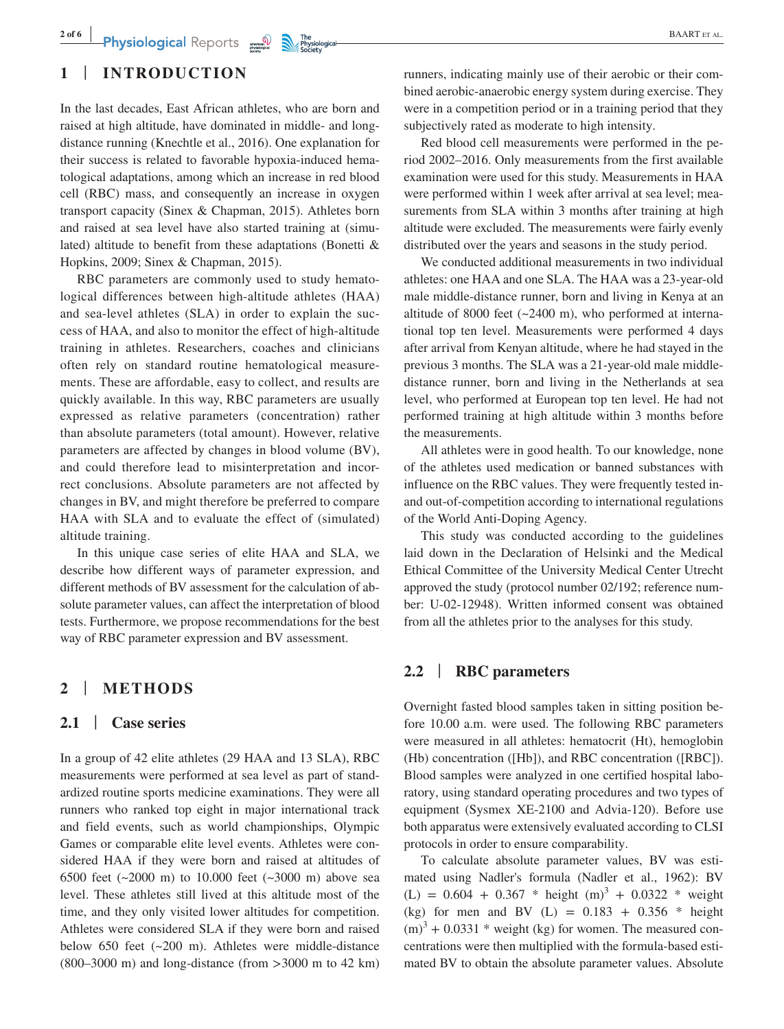# **1** | **INTRODUCTION**

In the last decades, East African athletes, who are born and raised at high altitude, have dominated in middle- and longdistance running (Knechtle et al., 2016). One explanation for their success is related to favorable hypoxia-induced hematological adaptations, among which an increase in red blood cell (RBC) mass, and consequently an increase in oxygen transport capacity (Sinex & Chapman, 2015). Athletes born and raised at sea level have also started training at (simulated) altitude to benefit from these adaptations (Bonetti & Hopkins, 2009; Sinex & Chapman, 2015).

RBC parameters are commonly used to study hematological differences between high-altitude athletes (HAA) and sea-level athletes (SLA) in order to explain the success of HAA, and also to monitor the effect of high-altitude training in athletes. Researchers, coaches and clinicians often rely on standard routine hematological measurements. These are affordable, easy to collect, and results are quickly available. In this way, RBC parameters are usually expressed as relative parameters (concentration) rather than absolute parameters (total amount). However, relative parameters are affected by changes in blood volume (BV), and could therefore lead to misinterpretation and incorrect conclusions. Absolute parameters are not affected by changes in BV, and might therefore be preferred to compare HAA with SLA and to evaluate the effect of (simulated) altitude training.

In this unique case series of elite HAA and SLA, we describe how different ways of parameter expression, and different methods of BV assessment for the calculation of absolute parameter values, can affect the interpretation of blood tests. Furthermore, we propose recommendations for the best way of RBC parameter expression and BV assessment.

# **2** | **METHODS**

## **2.1** | **Case series**

In a group of 42 elite athletes (29 HAA and 13 SLA), RBC measurements were performed at sea level as part of standardized routine sports medicine examinations. They were all runners who ranked top eight in major international track and field events, such as world championships, Olympic Games or comparable elite level events. Athletes were considered HAA if they were born and raised at altitudes of 6500 feet (~2000 m) to 10.000 feet (~3000 m) above sea level. These athletes still lived at this altitude most of the time, and they only visited lower altitudes for competition. Athletes were considered SLA if they were born and raised below 650 feet (~200 m). Athletes were middle-distance  $(800-3000 \text{ m})$  and long-distance (from  $>3000 \text{ m}$  to 42 km)

runners, indicating mainly use of their aerobic or their combined aerobic-anaerobic energy system during exercise. They were in a competition period or in a training period that they subjectively rated as moderate to high intensity.

Red blood cell measurements were performed in the period 2002–2016. Only measurements from the first available examination were used for this study. Measurements in HAA were performed within 1 week after arrival at sea level; measurements from SLA within 3 months after training at high altitude were excluded. The measurements were fairly evenly distributed over the years and seasons in the study period.

We conducted additional measurements in two individual athletes: one HAA and one SLA. The HAA was a 23-year-old male middle-distance runner, born and living in Kenya at an altitude of 8000 feet  $(\sim 2400 \text{ m})$ , who performed at international top ten level. Measurements were performed 4 days after arrival from Kenyan altitude, where he had stayed in the previous 3 months. The SLA was a 21-year-old male middledistance runner, born and living in the Netherlands at sea level, who performed at European top ten level. He had not performed training at high altitude within 3 months before the measurements.

All athletes were in good health. To our knowledge, none of the athletes used medication or banned substances with influence on the RBC values. They were frequently tested inand out-of-competition according to international regulations of the World Anti-Doping Agency.

This study was conducted according to the guidelines laid down in the Declaration of Helsinki and the Medical Ethical Committee of the University Medical Center Utrecht approved the study (protocol number 02/192; reference number: U-02-12948). Written informed consent was obtained from all the athletes prior to the analyses for this study.

## **2.2** | **RBC parameters**

Overnight fasted blood samples taken in sitting position before 10.00 a.m. were used. The following RBC parameters were measured in all athletes: hematocrit (Ht), hemoglobin (Hb) concentration ([Hb]), and RBC concentration ([RBC]). Blood samples were analyzed in one certified hospital laboratory, using standard operating procedures and two types of equipment (Sysmex XE-2100 and Advia-120). Before use both apparatus were extensively evaluated according to CLSI protocols in order to ensure comparability.

To calculate absolute parameter values, BV was estimated using Nadler's formula (Nadler et al., 1962): BV  $(L) = 0.604 + 0.367 * height (m)<sup>3</sup> + 0.0322 * weight$ (kg) for men and BV (L) =  $0.183 + 0.356$  \* height  $(m)^3 + 0.0331$  \* weight (kg) for women. The measured concentrations were then multiplied with the formula-based estimated BV to obtain the absolute parameter values. Absolute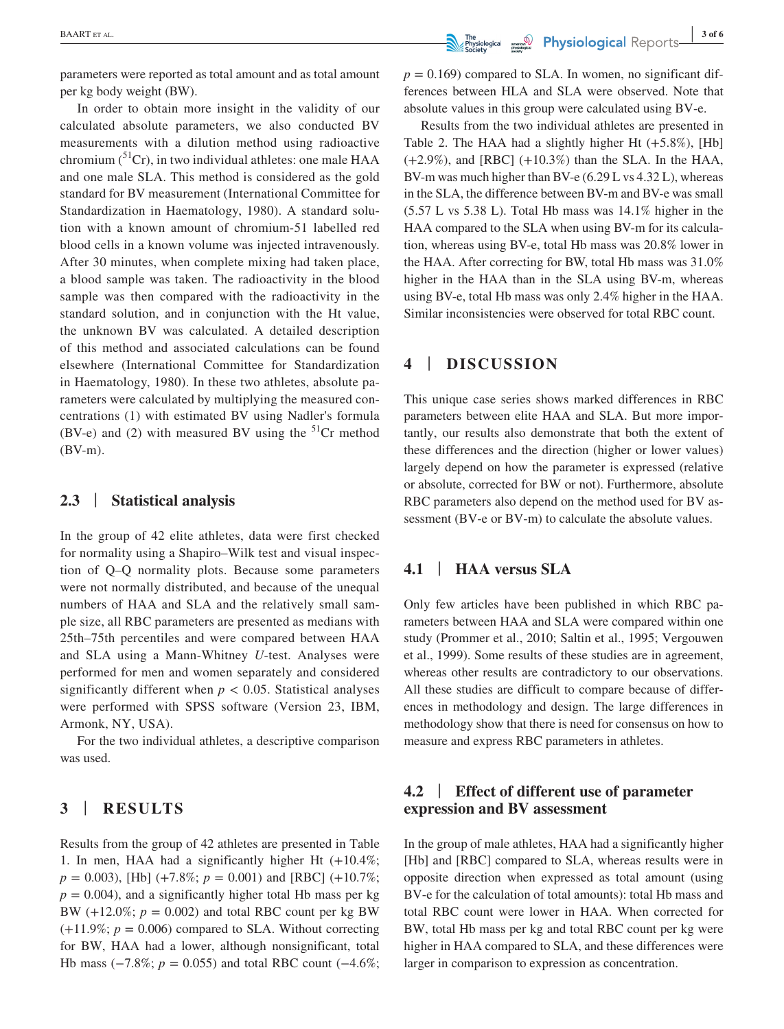parameters were reported as total amount and as total amount per kg body weight (BW).

In order to obtain more insight in the validity of our calculated absolute parameters, we also conducted BV measurements with a dilution method using radioactive chromium  $\binom{51}{r}$ , in two individual athletes: one male HAA and one male SLA. This method is considered as the gold standard for BV measurement (International Committee for Standardization in Haematology, 1980). A standard solution with a known amount of chromium-51 labelled red blood cells in a known volume was injected intravenously. After 30 minutes, when complete mixing had taken place, a blood sample was taken. The radioactivity in the blood sample was then compared with the radioactivity in the standard solution, and in conjunction with the Ht value, the unknown BV was calculated. A detailed description of this method and associated calculations can be found elsewhere (International Committee for Standardization in Haematology, 1980). In these two athletes, absolute parameters were calculated by multiplying the measured concentrations (1) with estimated BV using Nadler's formula (BV-e) and (2) with measured BV using the  ${}^{51}Cr$  method (BV-m).

### **2.3** | **Statistical analysis**

In the group of 42 elite athletes, data were first checked for normality using a Shapiro–Wilk test and visual inspection of Q–Q normality plots. Because some parameters were not normally distributed, and because of the unequal numbers of HAA and SLA and the relatively small sample size, all RBC parameters are presented as medians with 25th–75th percentiles and were compared between HAA and SLA using a Mann-Whitney *U*-test. Analyses were performed for men and women separately and considered significantly different when  $p < 0.05$ . Statistical analyses were performed with SPSS software (Version 23, IBM, Armonk, NY, USA).

For the two individual athletes, a descriptive comparison was used.

## **3** | **RESULTS**

Results from the group of 42 athletes are presented in Table 1. In men, HAA had a significantly higher Ht (+10.4%;  $p = 0.003$ ), [Hb] (+7.8%;  $p = 0.001$ ) and [RBC] (+10.7%;  $p = 0.004$ , and a significantly higher total Hb mass per kg BW  $(+12.0\%; p = 0.002)$  and total RBC count per kg BW  $(+11.9\%; p = 0.006)$  compared to SLA. Without correcting for BW, HAA had a lower, although nonsignificant, total Hb mass (−7.8%; *p* = 0.055) and total RBC count (−4.6%;

 $p = 0.169$ ) compared to SLA. In women, no significant differences between HLA and SLA were observed. Note that absolute values in this group were calculated using BV-e.

Results from the two individual athletes are presented in Table 2. The HAA had a slightly higher Ht (+5.8%), [Hb]  $(+2.9\%)$ , and [RBC]  $(+10.3\%)$  than the SLA. In the HAA, BV-m was much higher than BV-e (6.29 L vs 4.32 L), whereas in the SLA, the difference between BV-m and BV-e was small (5.57 L vs 5.38 L). Total Hb mass was 14.1% higher in the HAA compared to the SLA when using BV-m for its calculation, whereas using BV-e, total Hb mass was 20.8% lower in the HAA. After correcting for BW, total Hb mass was 31.0% higher in the HAA than in the SLA using BV-m, whereas using BV-e, total Hb mass was only 2.4% higher in the HAA. Similar inconsistencies were observed for total RBC count.

# **4** | **DISCUSSION**

This unique case series shows marked differences in RBC parameters between elite HAA and SLA. But more importantly, our results also demonstrate that both the extent of these differences and the direction (higher or lower values) largely depend on how the parameter is expressed (relative or absolute, corrected for BW or not). Furthermore, absolute RBC parameters also depend on the method used for BV assessment (BV-e or BV-m) to calculate the absolute values.

## **4.1** | **HAA versus SLA**

Only few articles have been published in which RBC parameters between HAA and SLA were compared within one study (Prommer et al., 2010; Saltin et al., 1995; Vergouwen et al., 1999). Some results of these studies are in agreement, whereas other results are contradictory to our observations. All these studies are difficult to compare because of differences in methodology and design. The large differences in methodology show that there is need for consensus on how to measure and express RBC parameters in athletes.

# **4.2** | **Effect of different use of parameter expression and BV assessment**

In the group of male athletes, HAA had a significantly higher [Hb] and [RBC] compared to SLA, whereas results were in opposite direction when expressed as total amount (using BV-e for the calculation of total amounts): total Hb mass and total RBC count were lower in HAA. When corrected for BW, total Hb mass per kg and total RBC count per kg were higher in HAA compared to SLA, and these differences were larger in comparison to expression as concentration.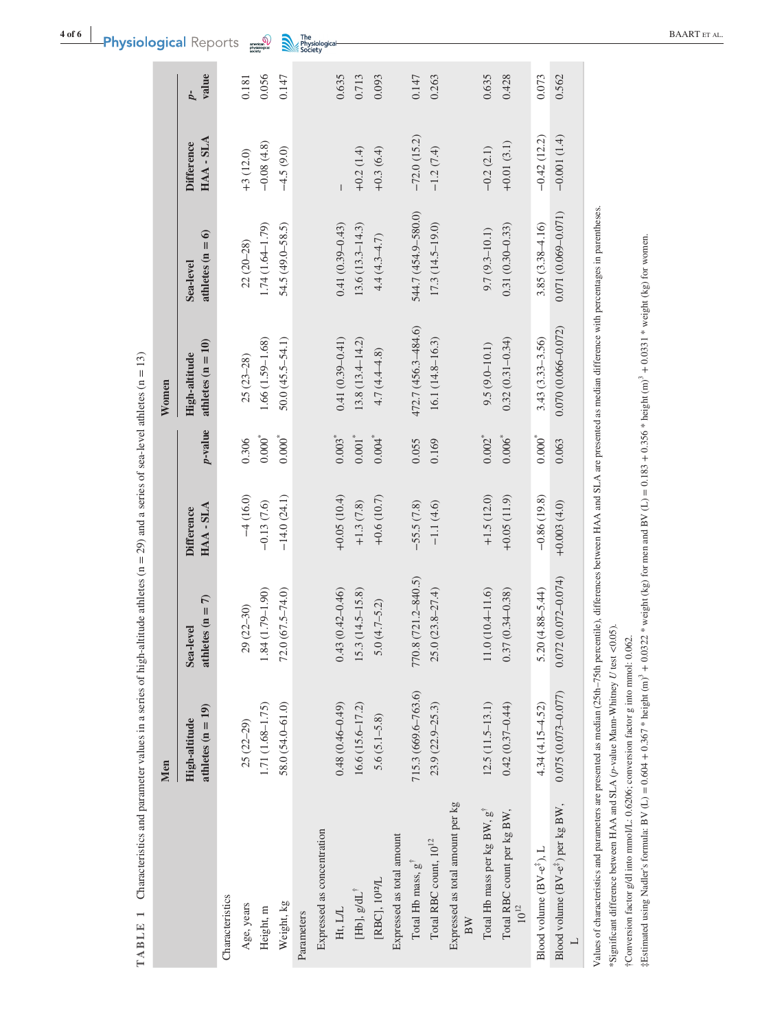|                                                                                                                                                                                             | Men                                  |                                 |                                  |                      | Women                                |                                 |                                  |                         |
|---------------------------------------------------------------------------------------------------------------------------------------------------------------------------------------------|--------------------------------------|---------------------------------|----------------------------------|----------------------|--------------------------------------|---------------------------------|----------------------------------|-------------------------|
|                                                                                                                                                                                             | athletes $(n = 19)$<br>High-altitude | athletes $(n = 7)$<br>Sea-level | $HAA - SLA$<br><b>Difference</b> | p-value              | athletes $(n = 10)$<br>High-altitude | athletes $(n = 6)$<br>Sea-level | $HAA - SLA$<br><b>Difference</b> | value<br>$\overline{p}$ |
| Characteristics                                                                                                                                                                             |                                      |                                 |                                  |                      |                                      |                                 |                                  |                         |
| Age, years                                                                                                                                                                                  | $25(22-29)$                          | 29 (22-30)                      | $-4(16.0)$                       | 0.306                | $25(23 - 28)$                        | $22(20-28)$                     | $+3(12.0)$                       | 0.181                   |
| Height, m                                                                                                                                                                                   | 1.71 (1.68-1.75)                     | 1.84 (1.79-1.90)                | $-0.13(7.6)$                     | $0.000^{*}$          | 1.66 (1.59-1.68)                     | $1.74(1.64 - 1.79)$             | $-0.08(4.8)$                     | 0.056                   |
| Weight, kg                                                                                                                                                                                  | $58.0(54.0 - 61.0)$                  | $72.0(67.5 - 74.0)$             | $-14.0(24.1)$                    | $0.000^{*}$          | $50.0(45.5 - 54.1)$                  | 54.5 (49.0-58.5)                | $-4.5(9.0)$                      | 0.147                   |
| Parameters                                                                                                                                                                                  |                                      |                                 |                                  |                      |                                      |                                 |                                  |                         |
| Expressed as concentration                                                                                                                                                                  |                                      |                                 |                                  |                      |                                      |                                 |                                  |                         |
| Ht, L/L                                                                                                                                                                                     | $0.48(0.46 - 0.49)$                  | $0.43(0.42 - 0.46)$             | $+0.05(10.4)$                    | $0.003*$             | $0.41(0.39 - 0.41)$                  | $0.41(0.39 - 0.43)$             |                                  | 0.635                   |
| [Hb], $g/dL^{\dagger}$                                                                                                                                                                      | $16.6(15.6 - 17.2)$                  | $15.3(14.5 - 15.8)$             | $+1.3(7.8)$                      | $0.001*$             | $13.8(13.4 - 14.2)$                  | $13.6(13.3 - 14.3)$             | $+0.2(1.4)$                      | 0.713                   |
| [RBC], 10 <sup>12</sup> /L                                                                                                                                                                  | $5.6(5.1 - 5.8)$                     | $5.0(4.7 - 5.2)$                | $+0.6(10.7)$                     | $0.004$ <sup>*</sup> | $4.7(4.4 - 4.8)$                     | $4.4(4.3 - 4.7)$                | $+0.3(6.4)$                      | 0.093                   |
| Expressed as total amount                                                                                                                                                                   |                                      |                                 |                                  |                      |                                      |                                 |                                  |                         |
| Total Hb mass, $g^T$                                                                                                                                                                        | 715.3 (669.6-763.6)                  | 770.8 (721.2-840.5)             | $-55.5(7.8)$                     | 0.055                | 472.7 (456.3-484.6)                  | 544.7 (454.9-580.0)             | $-72.0(15.2)$                    | 0.147                   |
| Total RBC count, $10^{12}$                                                                                                                                                                  | $23.9(22.9 - 25.3)$                  | $25.0(23.8 - 27.4)$             | $-1.1(4.6)$                      | 0.169                | $16.1(14.8 - 16.3)$                  | $17.3(14.5-19.0)$               | $-1.2(7.4)$                      | 0.263                   |
| Expressed as total amount per kg                                                                                                                                                            |                                      |                                 |                                  |                      |                                      |                                 |                                  |                         |
| Total Hb mass per kg BW, $g^{\dagger}$                                                                                                                                                      | $12.5(11.5-13.1)$                    | $11.0(10.4 - 11.6)$             | $+1.5(12.0)$                     | $0.002^{*}$          | $9.5(9.0 - 10.1)$                    | $9.7(9.3 - 10.1)$               | $-0.2(2.1)$                      | 0.635                   |
| Total RBC count per kg BW,<br>$10^{12}\,$                                                                                                                                                   | $0.42(0.37 - 0.44)$                  | $0.37(0.34 - 0.38)$             | $+0.05(11.9)$                    | $0.006^{*}$          | $0.32(0.31 - 0.34)$                  | $0.31(0.30 - 0.33)$             | $+0.01(3.1)$                     | 0.428                   |
| Blood volume (BV-e <sup>#</sup> ), L                                                                                                                                                        | $4.34(4.15 - 4.52)$                  | $5.20(4.88 - 5.44)$             | $-0.86(19.8)$                    | $0.000^*$            | $3.43(3.33 - 3.56)$                  | $3.85(3.38 - 4.16)$             | $-0.42(12.2)$                    | 0.073                   |
| Blood volume (BV-e <sup>#</sup> ) per kg BW,<br>$\overline{a}$                                                                                                                              | $0.075(0.073 - 0.077)$               | $0.072(0.072 - 0.074)$          | $+0.003(4.0)$                    | 0.063                | $0.070(0.066 - 0.072)$               | $0.071(0.069 - 0.071)$          | $-0.001(1.4)$                    | 0.562                   |
| Values of characteristics and parameters are presented as median (25th-75th percentile), differences between HAA and SLA are presented as median difference with percentages in parentheses |                                      |                                 |                                  |                      |                                      |                                 |                                  |                         |

TABLE 1 Characteristics and parameter values in a series of high-altitude athletes ( $n = 29$ ) and a series of sea-level athletes ( $n = 13$ ) **TABLE 1** Characteristics and parameter values in a series of high-altitude athletes (n = 29) and a series of sea-level athletes (n = 13)

\*Significant difference between HAA and SLA ( $p$ -value Mann-Whitney  $U$  test <0.05). \*Significant difference between HAA and SLA (*p*-value Mann-Whitney *U* test <0.05).  $\sqrt{a}$ 

†Conversion factor g/dl into mmol/L: 0.6206; conversion factor g into mmol: 0.062. †Conversion factor g/dl into mmol/L: 0.6206; conversion factor g into mmol: 0.062.

 $\frac{1}{2}$ Estimated using Nadler's formula: BV (L) = 0.604 + 0.367 \* height (m)<sup>3</sup> + 0.0322 \* weight (kg) for men and BV (L) = 0.183 + 0.356 \* height (m)<sup>3</sup> + 0.0331 \* weight (kg) for women.  $\frac{1}{2}$ Estimated using Nadler's formula: BV (L) = 0.604 + 0.367 \* height (m)<sup>3</sup> + 0.0322 \* weight (kg) for men and BV (L) = 0.183 + 0.356 \* height (m)<sup>3</sup> + 0.0331 \* weight (kg) for women.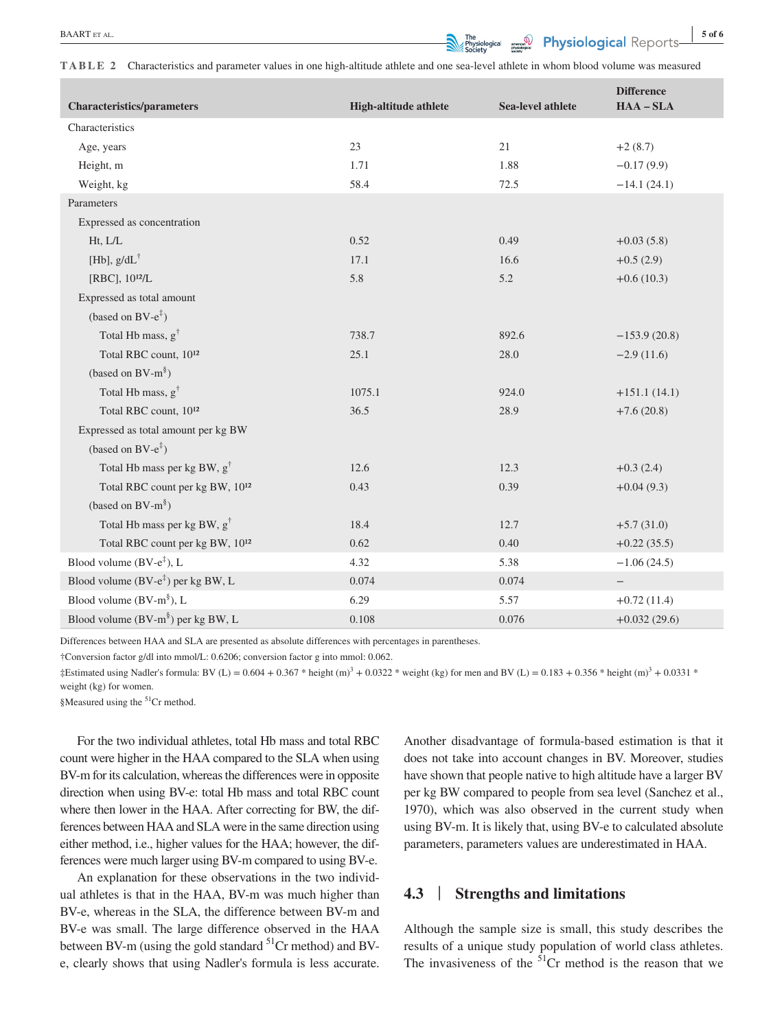**EXART ET AL.** 5 of 6

**TABLE 2** Characteristics and parameter values in one high-altitude athlete and one sea-level athlete in whom blood volume was measured

| <b>Characteristics/parameters</b>                | High-altitude athlete | <b>Sea-level athlete</b> | <b>Difference</b><br>$HAA - SLA$ |
|--------------------------------------------------|-----------------------|--------------------------|----------------------------------|
| Characteristics                                  |                       |                          |                                  |
| Age, years                                       | 23                    | 21                       | $+2(8.7)$                        |
| Height, m                                        | 1.71                  | 1.88                     | $-0.17(9.9)$                     |
| Weight, kg                                       | 58.4                  | 72.5                     | $-14.1(24.1)$                    |
| Parameters                                       |                       |                          |                                  |
| Expressed as concentration                       |                       |                          |                                  |
| Ht, L/L                                          | 0.52                  | 0.49                     | $+0.03(5.8)$                     |
| [Hb], $g/dL^{\dagger}$                           | 17.1                  | 16.6                     | $+0.5(2.9)$                      |
| [RBC], 10 <sup>12</sup> /L                       | 5.8                   | 5.2                      | $+0.6(10.3)$                     |
| Expressed as total amount                        |                       |                          |                                  |
| (based on BV- $e^{\ddagger}$ )                   |                       |                          |                                  |
| Total Hb mass, g <sup>†</sup>                    | 738.7                 | 892.6                    | $-153.9(20.8)$                   |
| Total RBC count, 10 <sup>12</sup>                | 25.1                  | 28.0                     | $-2.9(11.6)$                     |
| (based on $BV-m^{\S}$ )                          |                       |                          |                                  |
| Total Hb mass, g <sup>†</sup>                    | 1075.1                | 924.0                    | $+151.1(14.1)$                   |
| Total RBC count, 1012                            | 36.5                  | 28.9                     | $+7.6(20.8)$                     |
| Expressed as total amount per kg BW              |                       |                          |                                  |
| (based on BV- $e^{\ddagger}$ )                   |                       |                          |                                  |
| Total Hb mass per kg BW, $g^{\dagger}$           | 12.6                  | 12.3                     | $+0.3(2.4)$                      |
| Total RBC count per kg BW, 1012                  | 0.43                  | 0.39                     | $+0.04(9.3)$                     |
| (based on BV- $m^{\$}$ )                         |                       |                          |                                  |
| Total Hb mass per kg BW, $g^{\dagger}$           | 18.4                  | 12.7                     | $+5.7(31.0)$                     |
| Total RBC count per kg BW, 1012                  | 0.62                  | 0.40                     | $+0.22(35.5)$                    |
| Blood volume $(BV-e^{\ddagger})$ , L             | 4.32                  | 5.38                     | $-1.06(24.5)$                    |
| Blood volume $(BV-e^{\frac{t}{s}})$ per kg BW, L | 0.074                 | 0.074                    | $\qquad \qquad -$                |
| Blood volume $(BV-m^{\S})$ , L                   | 6.29                  | 5.57                     | $+0.72(11.4)$                    |
| Blood volume $(BV-m^{\S})$ per kg BW, L          | 0.108                 | 0.076                    | $+0.032(29.6)$                   |

Differences between HAA and SLA are presented as absolute differences with percentages in parentheses.

†Conversion factor g/dl into mmol/L: 0.6206; conversion factor g into mmol: 0.062.

 $\pm$ Estimated using Nadler's formula: BV (L) = 0.604 + 0.367 \* height (m)<sup>3</sup> + 0.0322 \* weight (kg) for men and BV (L) = 0.183 + 0.356 \* height (m)<sup>3</sup> + 0.0331 \* weight (kg) for women.

§Measured using the <sup>51</sup>Cr method.

For the two individual athletes, total Hb mass and total RBC count were higher in the HAA compared to the SLA when using BV-m for its calculation, whereas the differences were in opposite direction when using BV-e: total Hb mass and total RBC count where then lower in the HAA. After correcting for BW, the differences between HAA and SLA were in the same direction using either method, i.e., higher values for the HAA; however, the differences were much larger using BV-m compared to using BV-e.

An explanation for these observations in the two individual athletes is that in the HAA, BV-m was much higher than BV-e, whereas in the SLA, the difference between BV-m and BV-e was small. The large difference observed in the HAA between BV-m (using the gold standard <sup>51</sup>Cr method) and BVe, clearly shows that using Nadler's formula is less accurate.

Another disadvantage of formula-based estimation is that it does not take into account changes in BV. Moreover, studies have shown that people native to high altitude have a larger BV per kg BW compared to people from sea level (Sanchez et al., 1970), which was also observed in the current study when using BV-m. It is likely that, using BV-e to calculated absolute parameters, parameters values are underestimated in HAA.

## **4.3** | **Strengths and limitations**

Although the sample size is small, this study describes the results of a unique study population of world class athletes. The invasiveness of the  $51$ Cr method is the reason that we